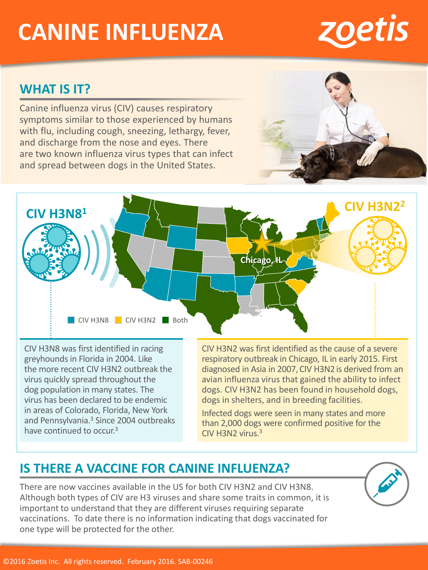# **CANINE INFLUENZA**

#### **WHAT IS IT?**

Canine influenza virus (CIV) causes respiratory symptoms similar to those experienced by humans and discharge from the nose and eyes. There are two known influenza virus types that can infect and spread between dogs in the United States.

with flu, including cough, sneezing, lethargy, fever,

CIV H3N8 was first identified in racing greyhounds in Florida in 2004. Like the more recent CIV H3N2 outbreak the virus quickly spread throughout the dog population in many states. The virus has been declared to be endemic in areas of Colorado, Florida, New York and Pennsylvania.<sup>3</sup> Since 2004 outbreaks have continued to occur.<sup>3</sup>

CIV H3N2 was first identified as the cause of a severe respiratory outbreak in Chicago, IL in early 2015. First diagnosed in Asia in 2007,CIV H3N2 is derived from an avian influenza virus that gained the ability to infect dogs. CIV H3N2 has been found in household dogs, dogs in shelters, and in breeding facilities.

Infected dogs were seen in many states and more than 2,000 dogs were confirmed positive for the CIV H3N2 virus.<sup>3</sup>

# **IS THERE A VACCINE FOR CANINE INFLUENZA?**

There are now vaccines available in the US for both CIV H3N2 and CIV H3N8. Although both types of CIV are H3 viruses and share some traits in common, it is important to understand that they are different viruses requiring separate vaccinations. To date there is no information indicating that dogs vaccinated for one type will be protected for the other.